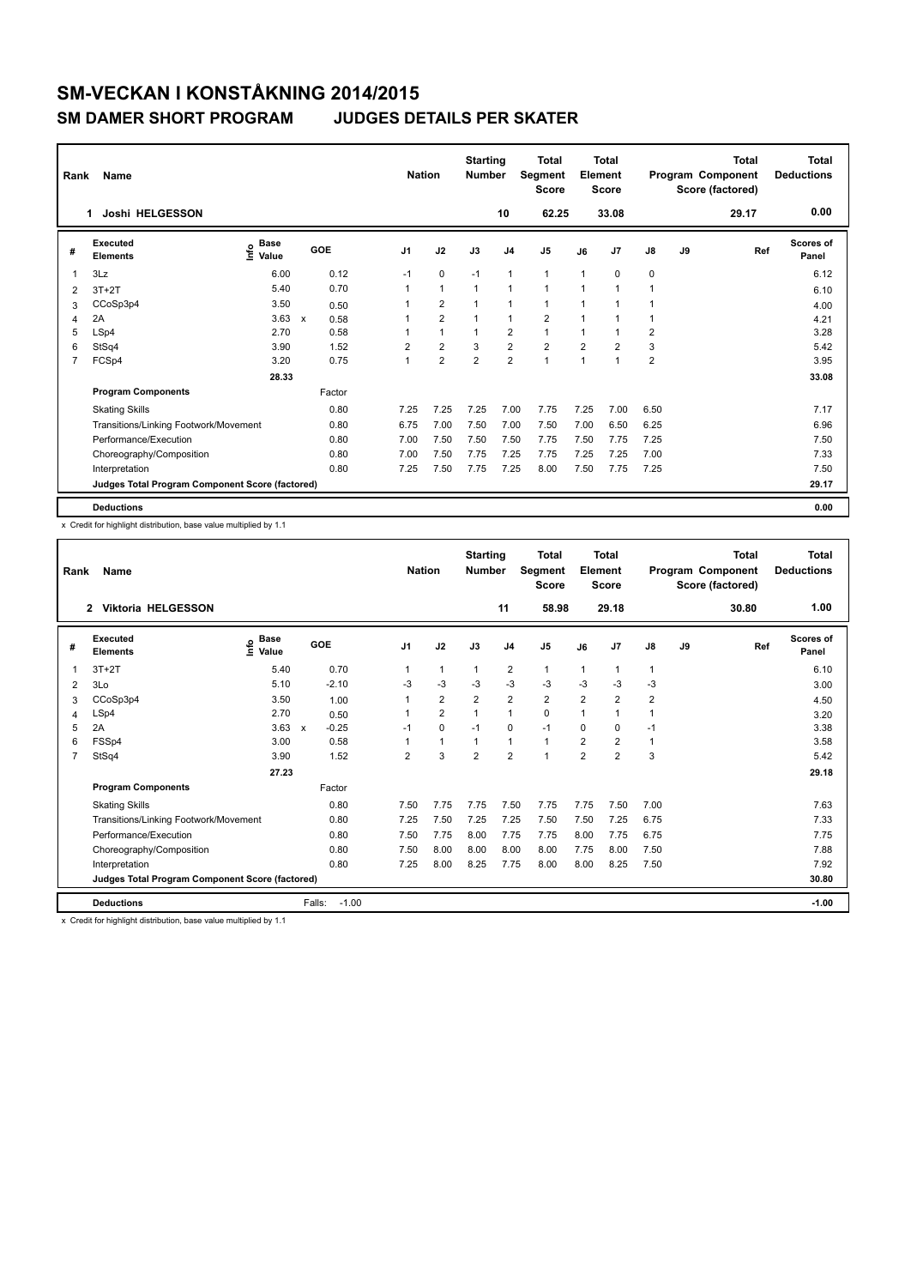| Rank           | Name                                            |                              |                           |            |                | <b>Nation</b> |                | <b>Starting</b><br><b>Number</b> |                | Total<br>Segment<br><b>Score</b> |                | <b>Total</b><br>Element<br><b>Score</b> |                         |    | <b>Total</b><br>Program Component<br>Score (factored) | <b>Total</b><br><b>Deductions</b> |
|----------------|-------------------------------------------------|------------------------------|---------------------------|------------|----------------|---------------|----------------|----------------------------------|----------------|----------------------------------|----------------|-----------------------------------------|-------------------------|----|-------------------------------------------------------|-----------------------------------|
|                | Joshi HELGESSON<br>1                            |                              |                           |            |                |               |                |                                  | 10             | 62.25                            |                | 33.08                                   |                         |    | 29.17                                                 | 0.00                              |
| #              | Executed<br><b>Elements</b>                     | <b>Base</b><br>Info<br>Value |                           | <b>GOE</b> | J <sub>1</sub> |               | J2             | J3                               | J <sub>4</sub> | J <sub>5</sub>                   | J6             | J7                                      | J8                      | J9 | Ref                                                   | <b>Scores of</b><br>Panel         |
| $\overline{1}$ | 3Lz                                             | 6.00                         |                           | 0.12       | $-1$           |               | $\mathbf 0$    | $-1$                             | $\mathbf{1}$   | $\mathbf{1}$                     | $\overline{1}$ | 0                                       | 0                       |    |                                                       | 6.12                              |
| 2              | $3T+2T$                                         | 5.40                         |                           | 0.70       |                |               | $\mathbf{1}$   | 1                                | $\overline{1}$ | $\mathbf{1}$                     | 1              | 1                                       |                         |    |                                                       | 6.10                              |
| 3              | CCoSp3p4                                        | 3.50                         |                           | 0.50       |                |               | $\overline{2}$ |                                  | 1              | $\mathbf{1}$                     |                |                                         |                         |    |                                                       | 4.00                              |
| 4              | 2A                                              | 3.63                         | $\boldsymbol{\mathsf{x}}$ | 0.58       |                |               | $\overline{2}$ |                                  | $\mathbf{1}$   | $\overline{2}$                   | 1              |                                         |                         |    |                                                       | 4.21                              |
| 5              | LSp4                                            | 2.70                         |                           | 0.58       |                |               | $\mathbf{1}$   |                                  | $\overline{2}$ | $\mathbf{1}$                     |                |                                         | 2                       |    |                                                       | 3.28                              |
| 6              | StSq4                                           | 3.90                         |                           | 1.52       | $\overline{2}$ |               | $\overline{2}$ | 3                                | $\overline{2}$ | $\overline{2}$                   | $\overline{2}$ | $\overline{2}$                          | 3                       |    |                                                       | 5.42                              |
| $\overline{7}$ | FCSp4                                           | 3.20                         |                           | 0.75       | $\overline{1}$ |               | $\overline{2}$ | $\overline{2}$                   | 2              | $\mathbf{1}$                     | 1              | 1                                       | $\overline{\mathbf{c}}$ |    |                                                       | 3.95                              |
|                |                                                 | 28.33                        |                           |            |                |               |                |                                  |                |                                  |                |                                         |                         |    |                                                       | 33.08                             |
|                | <b>Program Components</b>                       |                              |                           | Factor     |                |               |                |                                  |                |                                  |                |                                         |                         |    |                                                       |                                   |
|                | <b>Skating Skills</b>                           |                              |                           | 0.80       | 7.25           |               | 7.25           | 7.25                             | 7.00           | 7.75                             | 7.25           | 7.00                                    | 6.50                    |    |                                                       | 7.17                              |
|                | Transitions/Linking Footwork/Movement           |                              |                           | 0.80       | 6.75           |               | 7.00           | 7.50                             | 7.00           | 7.50                             | 7.00           | 6.50                                    | 6.25                    |    |                                                       | 6.96                              |
|                | Performance/Execution                           |                              |                           | 0.80       | 7.00           |               | 7.50           | 7.50                             | 7.50           | 7.75                             | 7.50           | 7.75                                    | 7.25                    |    |                                                       | 7.50                              |
|                | Choreography/Composition                        |                              |                           | 0.80       | 7.00           |               | 7.50           | 7.75                             | 7.25           | 7.75                             | 7.25           | 7.25                                    | 7.00                    |    |                                                       | 7.33                              |
|                | Interpretation                                  |                              |                           | 0.80       | 7.25           |               | 7.50           | 7.75                             | 7.25           | 8.00                             | 7.50           | 7.75                                    | 7.25                    |    |                                                       | 7.50                              |
|                | Judges Total Program Component Score (factored) |                              |                           |            |                |               |                |                                  |                |                                  |                |                                         |                         |    |                                                       | 29.17                             |
|                | <b>Deductions</b>                               |                              |                           |            |                |               |                |                                  |                |                                  |                |                                         |                         |    |                                                       | 0.00                              |

x Credit for highlight distribution, base value multiplied by 1.1

| Rank           | Name                                            |                              |                         | <b>Nation</b>  |                | <b>Starting</b><br><b>Number</b> |                | <b>Total</b><br><b>Segment</b><br><b>Score</b> |                | <b>Total</b><br>Element<br><b>Score</b> |      |    | <b>Total</b><br>Program Component<br>Score (factored) | <b>Total</b><br><b>Deductions</b> |
|----------------|-------------------------------------------------|------------------------------|-------------------------|----------------|----------------|----------------------------------|----------------|------------------------------------------------|----------------|-----------------------------------------|------|----|-------------------------------------------------------|-----------------------------------|
|                | <b>Viktoria HELGESSON</b><br>$\overline{2}$     |                              |                         |                |                |                                  | 11             | 58.98                                          |                | 29.18                                   |      |    | 30.80                                                 | 1.00                              |
| #              | Executed<br><b>Elements</b>                     | <b>Base</b><br>lnfo<br>Value | GOE                     | J <sub>1</sub> | J2             | J3                               | J <sub>4</sub> | J <sub>5</sub>                                 | J6             | J7                                      | J8   | J9 | Ref                                                   | <b>Scores of</b><br>Panel         |
| 1              | $3T+2T$                                         | 5.40                         | 0.70                    | 1              | $\mathbf{1}$   | $\mathbf{1}$                     | $\overline{2}$ | $\mathbf{1}$                                   | $\mathbf{1}$   | $\overline{1}$                          | 1    |    |                                                       | 6.10                              |
| 2              | 3Lo                                             | 5.10                         | $-2.10$                 | $-3$           | $-3$           | $-3$                             | $-3$           | $-3$                                           | $-3$           | $-3$                                    | $-3$ |    |                                                       | 3.00                              |
| 3              | CCoSp3p4                                        | 3.50                         | 1.00                    |                | $\overline{2}$ | $\overline{2}$                   | $\overline{2}$ | $\overline{\mathbf{c}}$                        | 2              | $\overline{2}$                          | 2    |    |                                                       | 4.50                              |
| 4              | LSp4                                            | 2.70                         | 0.50                    | 1              | $\overline{2}$ | 1                                | $\mathbf 1$    | 0                                              |                | 1                                       | 1    |    |                                                       | 3.20                              |
| 5              | 2A                                              | 3.63                         | $-0.25$<br>$\mathbf{x}$ | $-1$           | $\Omega$       | $-1$                             | $\Omega$       | $-1$                                           | $\Omega$       | $\Omega$                                | $-1$ |    |                                                       | 3.38                              |
| 6              | FSSp4                                           | 3.00                         | 0.58                    |                | $\mathbf{1}$   | 1                                | $\mathbf{1}$   | $\mathbf{1}$                                   | $\overline{2}$ | $\overline{2}$                          | 1    |    |                                                       | 3.58                              |
| $\overline{7}$ | StSq4                                           | 3.90                         | 1.52                    | 2              | 3              | $\overline{2}$                   | $\overline{2}$ | 1                                              | $\overline{2}$ | $\overline{2}$                          | 3    |    |                                                       | 5.42                              |
|                |                                                 | 27.23                        |                         |                |                |                                  |                |                                                |                |                                         |      |    |                                                       | 29.18                             |
|                | <b>Program Components</b>                       |                              | Factor                  |                |                |                                  |                |                                                |                |                                         |      |    |                                                       |                                   |
|                | <b>Skating Skills</b>                           |                              | 0.80                    | 7.50           | 7.75           | 7.75                             | 7.50           | 7.75                                           | 7.75           | 7.50                                    | 7.00 |    |                                                       | 7.63                              |
|                | Transitions/Linking Footwork/Movement           |                              | 0.80                    | 7.25           | 7.50           | 7.25                             | 7.25           | 7.50                                           | 7.50           | 7.25                                    | 6.75 |    |                                                       | 7.33                              |
|                | Performance/Execution                           |                              | 0.80                    | 7.50           | 7.75           | 8.00                             | 7.75           | 7.75                                           | 8.00           | 7.75                                    | 6.75 |    |                                                       | 7.75                              |
|                | Choreography/Composition                        |                              | 0.80                    | 7.50           | 8.00           | 8.00                             | 8.00           | 8.00                                           | 7.75           | 8.00                                    | 7.50 |    |                                                       | 7.88                              |
|                | Interpretation                                  |                              | 0.80                    | 7.25           | 8.00           | 8.25                             | 7.75           | 8.00                                           | 8.00           | 8.25                                    | 7.50 |    |                                                       | 7.92                              |
|                | Judges Total Program Component Score (factored) |                              |                         |                |                |                                  |                |                                                |                |                                         |      |    |                                                       | 30.80                             |
|                | <b>Deductions</b>                               |                              | Falls:<br>$-1.00$       |                |                |                                  |                |                                                |                |                                         |      |    |                                                       | $-1.00$                           |

x Credit for highlight distribution, base value multiplied by 1.1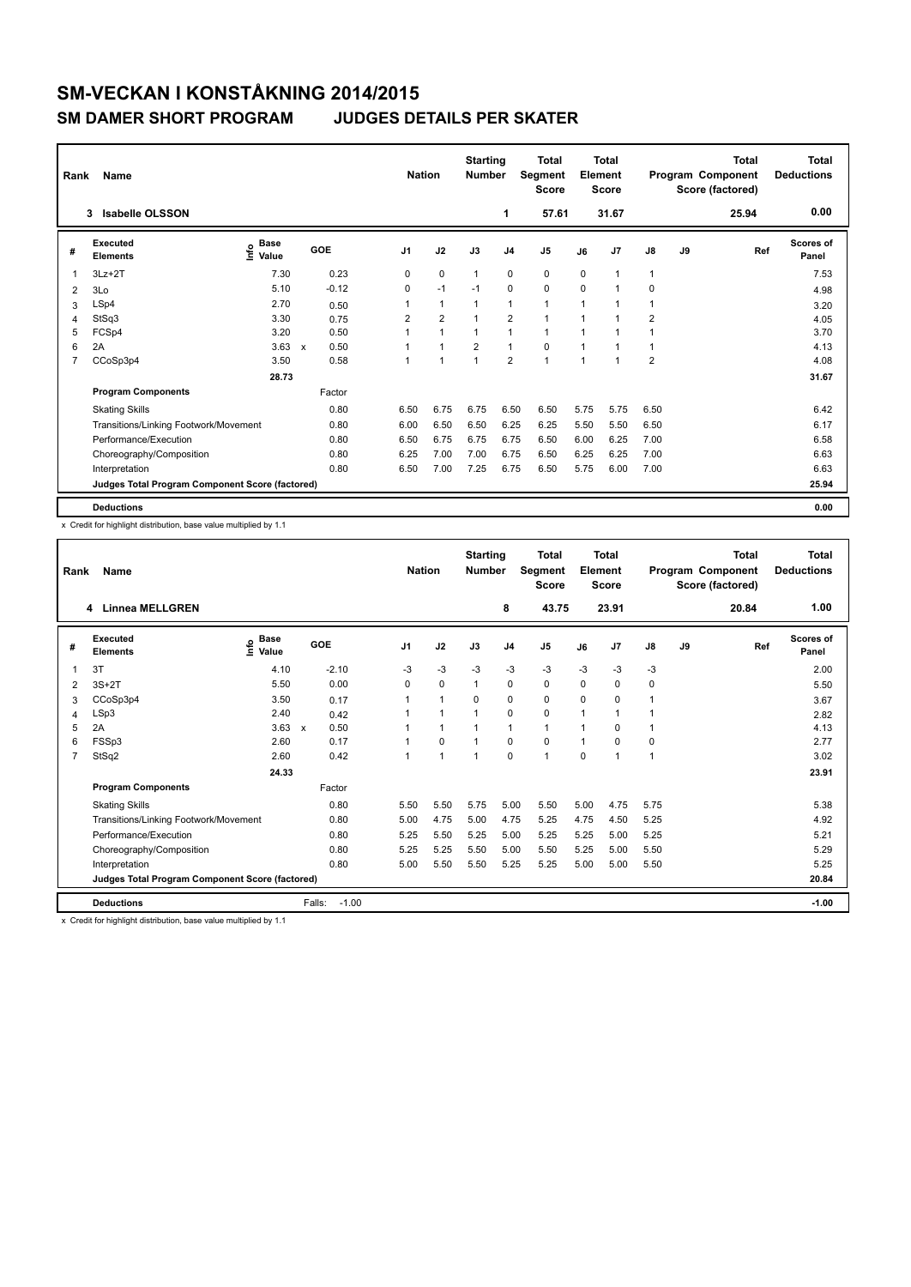| Rank           | Name                                            |                       |         | <b>Nation</b>  |                | <b>Starting</b><br><b>Number</b> |                | <b>Total</b><br>Segment<br><b>Score</b> |      | <b>Total</b><br>Element<br><b>Score</b> |                |    | <b>Total</b><br>Program Component<br>Score (factored) | <b>Total</b><br><b>Deductions</b> |
|----------------|-------------------------------------------------|-----------------------|---------|----------------|----------------|----------------------------------|----------------|-----------------------------------------|------|-----------------------------------------|----------------|----|-------------------------------------------------------|-----------------------------------|
|                | 3<br>Isabelle OLSSON                            |                       |         |                |                |                                  | 1              | 57.61                                   |      | 31.67                                   |                |    | 25.94                                                 | 0.00                              |
| #              | Executed<br><b>Elements</b>                     | Base<br>١nf٥<br>Value | GOE     | J <sub>1</sub> | J2             | J3                               | J <sub>4</sub> | J <sub>5</sub>                          | J6   | J <sub>7</sub>                          | J8             | J9 | Ref                                                   | <b>Scores of</b><br>Panel         |
| 1              | $3Lz + 2T$                                      | 7.30                  | 0.23    | 0              | 0              | $\mathbf 1$                      | 0              | 0                                       | 0    | $\overline{1}$                          | $\overline{1}$ |    |                                                       | 7.53                              |
| $\overline{2}$ | 3Lo                                             | 5.10                  | $-0.12$ | 0              | $-1$           | $-1$                             | 0              | 0                                       | 0    | $\overline{1}$                          | 0              |    |                                                       | 4.98                              |
| 3              | LSp4                                            | 2.70                  | 0.50    | 1              | $\mathbf{1}$   |                                  | 1              | 1                                       | 1    | $\overline{1}$                          |                |    |                                                       | 3.20                              |
| 4              | StSq3                                           | 3.30                  | 0.75    | 2              | $\overline{2}$ | $\overline{1}$                   | $\overline{2}$ | 1                                       | 1    | $\overline{1}$                          | $\overline{2}$ |    |                                                       | 4.05                              |
| 5              | FCSp4                                           | 3.20                  | 0.50    | 1              | $\mathbf{1}$   | 1                                | 1              | $\mathbf{1}$                            | 1    | $\overline{1}$                          |                |    |                                                       | 3.70                              |
| 6              | 2A                                              | $3.63 \times$         | 0.50    | 1              | $\overline{ }$ | $\overline{2}$                   | 1              | $\Omega$                                |      | 1                                       |                |    |                                                       | 4.13                              |
| $\overline{7}$ | CCoSp3p4                                        | 3.50                  | 0.58    | $\mathbf{1}$   | 1              | 1                                | $\overline{2}$ | $\overline{1}$                          | 1    | 1                                       | $\overline{2}$ |    |                                                       | 4.08                              |
|                |                                                 | 28.73                 |         |                |                |                                  |                |                                         |      |                                         |                |    |                                                       | 31.67                             |
|                | <b>Program Components</b>                       |                       | Factor  |                |                |                                  |                |                                         |      |                                         |                |    |                                                       |                                   |
|                | <b>Skating Skills</b>                           |                       | 0.80    | 6.50           | 6.75           | 6.75                             | 6.50           | 6.50                                    | 5.75 | 5.75                                    | 6.50           |    |                                                       | 6.42                              |
|                | Transitions/Linking Footwork/Movement           |                       | 0.80    | 6.00           | 6.50           | 6.50                             | 6.25           | 6.25                                    | 5.50 | 5.50                                    | 6.50           |    |                                                       | 6.17                              |
|                | Performance/Execution                           |                       | 0.80    | 6.50           | 6.75           | 6.75                             | 6.75           | 6.50                                    | 6.00 | 6.25                                    | 7.00           |    |                                                       | 6.58                              |
|                | Choreography/Composition                        |                       | 0.80    | 6.25           | 7.00           | 7.00                             | 6.75           | 6.50                                    | 6.25 | 6.25                                    | 7.00           |    |                                                       | 6.63                              |
|                | Interpretation                                  |                       | 0.80    | 6.50           | 7.00           | 7.25                             | 6.75           | 6.50                                    | 5.75 | 6.00                                    | 7.00           |    |                                                       | 6.63                              |
|                | Judges Total Program Component Score (factored) |                       |         |                |                |                                  |                |                                         |      |                                         |                |    |                                                       | 25.94                             |
|                | <b>Deductions</b>                               |                       |         |                |                |                                  |                |                                         |      |                                         |                |    |                                                       | 0.00                              |

x Credit for highlight distribution, base value multiplied by 1.1

| Rank           | Name                                            |                           |                      | <b>Nation</b>  |                      | <b>Starting</b><br><b>Number</b> |                | <b>Total</b><br>Segment<br><b>Score</b> |              | <b>Total</b><br>Element<br><b>Score</b> |               |    | <b>Total</b><br>Program Component<br>Score (factored) | <b>Total</b><br><b>Deductions</b> |
|----------------|-------------------------------------------------|---------------------------|----------------------|----------------|----------------------|----------------------------------|----------------|-----------------------------------------|--------------|-----------------------------------------|---------------|----|-------------------------------------------------------|-----------------------------------|
|                | 4 Linnea MELLGREN                               |                           |                      |                |                      |                                  | 8              | 43.75                                   |              | 23.91                                   |               |    | 20.84                                                 | 1.00                              |
| #              | Executed<br><b>Elements</b>                     | $\frac{e}{\epsilon}$ Base | GOE                  | J <sub>1</sub> | J2                   | J3                               | J <sub>4</sub> | J <sub>5</sub>                          | J6           | J <sub>7</sub>                          | $\mathsf{J}8$ | J9 | Ref                                                   | <b>Scores of</b><br>Panel         |
| 1              | 3T                                              | 4.10                      | $-2.10$              | $-3$           | $-3$                 | $-3$                             | $-3$           | $-3$                                    | $-3$         | $-3$                                    | $-3$          |    |                                                       | 2.00                              |
| 2              | $3S+2T$                                         | 5.50                      | 0.00                 | $\mathbf 0$    | $\mathbf 0$          | 1                                | $\mathbf 0$    | 0                                       | $\Omega$     | $\mathbf 0$                             | 0             |    |                                                       | 5.50                              |
| 3              | CCoSp3p4                                        | 3.50                      | 0.17                 |                | $\blacktriangleleft$ | $\Omega$                         | $\mathbf 0$    | 0                                       | $\Omega$     | $\Omega$                                | 1             |    |                                                       | 3.67                              |
| 4              | LSp3                                            | 2.40                      | 0.42                 |                | $\overline{1}$       |                                  | $\mathbf 0$    | 0                                       | 1            | 1                                       | 1             |    |                                                       | 2.82                              |
| 5              | 2A                                              | 3.63                      | 0.50<br>$\mathsf{x}$ |                | 1                    |                                  | 1              | $\mathbf{1}$                            | 1            | $\Omega$                                | 1             |    |                                                       | 4.13                              |
| 6              | FSSp3                                           | 2.60                      | 0.17                 |                | $\Omega$             |                                  | 0              | 0                                       | $\mathbf{1}$ | $\Omega$                                | 0             |    |                                                       | 2.77                              |
| $\overline{7}$ | StSq2                                           | 2.60                      | 0.42                 |                | $\overline{1}$       | $\overline{ }$                   | $\Omega$       | 1                                       | $\Omega$     | 1                                       | 1             |    |                                                       | 3.02                              |
|                |                                                 | 24.33                     |                      |                |                      |                                  |                |                                         |              |                                         |               |    |                                                       | 23.91                             |
|                | <b>Program Components</b>                       |                           | Factor               |                |                      |                                  |                |                                         |              |                                         |               |    |                                                       |                                   |
|                | <b>Skating Skills</b>                           |                           | 0.80                 | 5.50           | 5.50                 | 5.75                             | 5.00           | 5.50                                    | 5.00         | 4.75                                    | 5.75          |    |                                                       | 5.38                              |
|                | Transitions/Linking Footwork/Movement           |                           | 0.80                 | 5.00           | 4.75                 | 5.00                             | 4.75           | 5.25                                    | 4.75         | 4.50                                    | 5.25          |    |                                                       | 4.92                              |
|                | Performance/Execution                           |                           | 0.80                 | 5.25           | 5.50                 | 5.25                             | 5.00           | 5.25                                    | 5.25         | 5.00                                    | 5.25          |    |                                                       | 5.21                              |
|                | Choreography/Composition                        |                           | 0.80                 | 5.25           | 5.25                 | 5.50                             | 5.00           | 5.50                                    | 5.25         | 5.00                                    | 5.50          |    |                                                       | 5.29                              |
|                | Interpretation                                  |                           | 0.80                 | 5.00           | 5.50                 | 5.50                             | 5.25           | 5.25                                    | 5.00         | 5.00                                    | 5.50          |    |                                                       | 5.25                              |
|                | Judges Total Program Component Score (factored) |                           |                      |                |                      |                                  |                |                                         |              |                                         |               |    |                                                       | 20.84                             |
|                | <b>Deductions</b>                               |                           | Falls:<br>$-1.00$    |                |                      |                                  |                |                                         |              |                                         |               |    |                                                       | $-1.00$                           |

x Credit for highlight distribution, base value multiplied by 1.1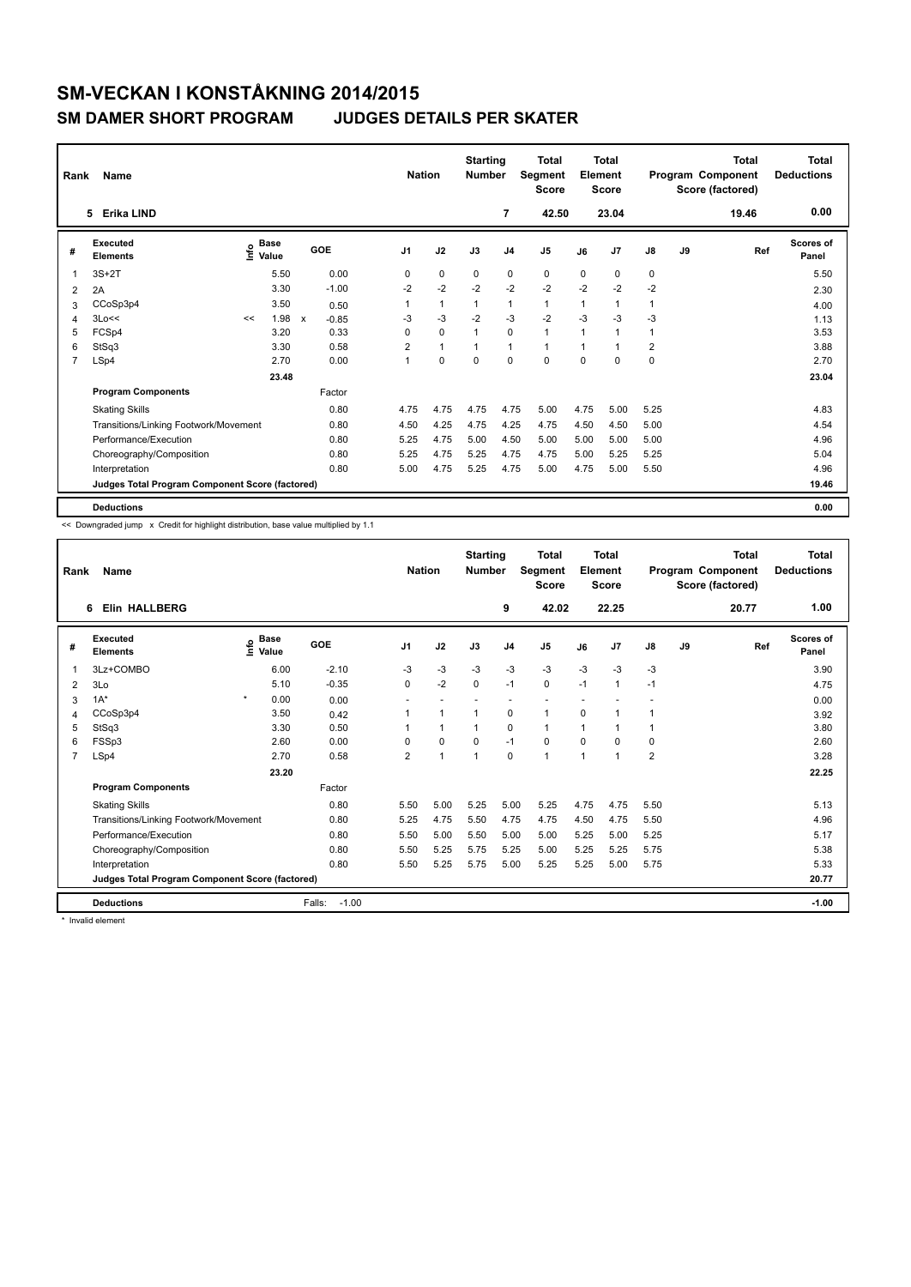| Rank           | Name                                            |      |                      |                         |                | <b>Nation</b> | <b>Starting</b><br><b>Number</b> |                | <b>Total</b><br>Segment<br><b>Score</b> |                | Total<br>Element<br><b>Score</b> |                         |    | <b>Total</b><br>Program Component<br>Score (factored) | <b>Total</b><br><b>Deductions</b> |
|----------------|-------------------------------------------------|------|----------------------|-------------------------|----------------|---------------|----------------------------------|----------------|-----------------------------------------|----------------|----------------------------------|-------------------------|----|-------------------------------------------------------|-----------------------------------|
|                | <b>Erika LIND</b><br>5                          |      |                      |                         |                |               |                                  | $\overline{7}$ | 42.50                                   |                | 23.04                            |                         |    | 19.46                                                 | 0.00                              |
| #              | Executed<br><b>Elements</b>                     | ١nf٥ | <b>Base</b><br>Value | GOE                     | J <sub>1</sub> | J2            | J3                               | J <sub>4</sub> | J5                                      | J6             | J <sub>7</sub>                   | J8                      | J9 | Ref                                                   | <b>Scores of</b><br>Panel         |
| 1              | $3S+2T$                                         |      | 5.50                 | 0.00                    | 0              | $\mathbf 0$   | 0                                | 0              | $\pmb{0}$                               | $\Omega$       | 0                                | 0                       |    |                                                       | 5.50                              |
| 2              | 2A                                              |      | 3.30                 | $-1.00$                 | $-2$           | $-2$          | $-2$                             | $-2$           | $-2$                                    | $-2$           | $-2$                             | $-2$                    |    |                                                       | 2.30                              |
| 3              | CCoSp3p4                                        |      | 3.50                 | 0.50                    |                | $\mathbf{1}$  | $\mathbf{1}$                     | $\mathbf{1}$   | $\mathbf{1}$                            | 1              |                                  | $\mathbf{1}$            |    |                                                       | 4.00                              |
| 4              | 3Lo <<                                          | <<   | 1.98                 | $-0.85$<br>$\mathsf{x}$ | -3             | $-3$          | $-2$                             | $-3$           | $-2$                                    | $-3$           | $-3$                             | -3                      |    |                                                       | 1.13                              |
| 5              | FCSp4                                           |      | 3.20                 | 0.33                    | 0              | 0             | $\overline{1}$                   | 0              | $\mathbf{1}$                            | $\overline{ }$ |                                  | $\mathbf{1}$            |    |                                                       | 3.53                              |
| 6              | StSq3                                           |      | 3.30                 | 0.58                    | $\overline{2}$ | $\mathbf{1}$  |                                  | $\mathbf{1}$   | $\mathbf{1}$                            | $\overline{1}$ |                                  | $\overline{\mathbf{c}}$ |    |                                                       | 3.88                              |
| $\overline{7}$ | LSp4                                            |      | 2.70                 | 0.00                    | 1              | $\mathbf 0$   | 0                                | $\mathbf 0$    | $\mathbf 0$                             | $\mathbf 0$    | $\mathbf 0$                      | $\pmb{0}$               |    |                                                       | 2.70                              |
|                |                                                 |      | 23.48                |                         |                |               |                                  |                |                                         |                |                                  |                         |    |                                                       | 23.04                             |
|                | <b>Program Components</b>                       |      |                      | Factor                  |                |               |                                  |                |                                         |                |                                  |                         |    |                                                       |                                   |
|                | <b>Skating Skills</b>                           |      |                      | 0.80                    | 4.75           | 4.75          | 4.75                             | 4.75           | 5.00                                    | 4.75           | 5.00                             | 5.25                    |    |                                                       | 4.83                              |
|                | Transitions/Linking Footwork/Movement           |      |                      | 0.80                    | 4.50           | 4.25          | 4.75                             | 4.25           | 4.75                                    | 4.50           | 4.50                             | 5.00                    |    |                                                       | 4.54                              |
|                | Performance/Execution                           |      |                      | 0.80                    | 5.25           | 4.75          | 5.00                             | 4.50           | 5.00                                    | 5.00           | 5.00                             | 5.00                    |    |                                                       | 4.96                              |
|                | Choreography/Composition                        |      |                      | 0.80                    | 5.25           | 4.75          | 5.25                             | 4.75           | 4.75                                    | 5.00           | 5.25                             | 5.25                    |    |                                                       | 5.04                              |
|                | Interpretation                                  |      |                      | 0.80                    | 5.00           | 4.75          | 5.25                             | 4.75           | 5.00                                    | 4.75           | 5.00                             | 5.50                    |    |                                                       | 4.96                              |
|                | Judges Total Program Component Score (factored) |      |                      |                         |                |               |                                  |                |                                         |                |                                  |                         |    |                                                       | 19.46                             |
|                | <b>Deductions</b>                               |      |                      |                         |                |               |                                  |                |                                         |                |                                  |                         |    |                                                       | 0.00                              |

<< Downgraded jump x Credit for highlight distribution, base value multiplied by 1.1

| Rank | Name                                            |                    |                   | <b>Nation</b>  |                      | <b>Starting</b><br><b>Number</b> |                | Total<br>Segment<br><b>Score</b> |             | <b>Total</b><br>Element<br><b>Score</b> |               |    | Total<br>Program Component<br>Score (factored) | <b>Total</b><br><b>Deductions</b> |
|------|-------------------------------------------------|--------------------|-------------------|----------------|----------------------|----------------------------------|----------------|----------------------------------|-------------|-----------------------------------------|---------------|----|------------------------------------------------|-----------------------------------|
|      | <b>Elin HALLBERG</b><br>6                       |                    |                   |                |                      |                                  | 9              | 42.02                            |             | 22.25                                   |               |    | 20.77                                          | 1.00                              |
| #    | Executed<br><b>Elements</b>                     | $\frac{e}{2}$ Base | GOE               | J <sub>1</sub> | J2                   | J3                               | J <sub>4</sub> | J5                               | J6          | J <sub>7</sub>                          | $\mathsf{J}8$ | J9 | Ref                                            | Scores of<br>Panel                |
| 1    | 3Lz+COMBO                                       | 6.00               | $-2.10$           | $-3$           | $-3$                 | $-3$                             | $-3$           | $-3$                             | $-3$        | $-3$                                    | $-3$          |    |                                                | 3.90                              |
| 2    | 3Lo                                             | 5.10               | $-0.35$           | 0              | $-2$                 | $\Omega$                         | $-1$           | 0                                | $-1$        | $\overline{1}$                          | $-1$          |    |                                                | 4.75                              |
| 3    | $1A^*$                                          | $\star$<br>0.00    | 0.00              |                |                      |                                  |                |                                  |             |                                         |               |    |                                                | 0.00                              |
| 4    | CCoSp3p4                                        | 3.50               | 0.42              |                | $\blacktriangleleft$ | 1                                | 0              | 1                                | $\Omega$    | 1                                       | 1             |    |                                                | 3.92                              |
| 5    | StSq3                                           | 3.30               | 0.50              |                | $\mathbf{1}$         | $\overline{1}$                   | $\Omega$       | $\mathbf{1}$                     | $\mathbf 1$ | 1                                       | 1             |    |                                                | 3.80                              |
| 6    | FSSp3                                           | 2.60               | 0.00              | 0              | $\mathbf 0$          | $\Omega$                         | $-1$           | 0                                | $\Omega$    | $\Omega$                                | 0             |    |                                                | 2.60                              |
| 7    | LSp4                                            | 2.70               | 0.58              | $\overline{2}$ | $\blacktriangleleft$ | $\overline{1}$                   | 0              | 1                                | 1           | $\overline{1}$                          | 2             |    |                                                | 3.28                              |
|      |                                                 | 23.20              |                   |                |                      |                                  |                |                                  |             |                                         |               |    |                                                | 22.25                             |
|      | <b>Program Components</b>                       |                    | Factor            |                |                      |                                  |                |                                  |             |                                         |               |    |                                                |                                   |
|      | <b>Skating Skills</b>                           |                    | 0.80              | 5.50           | 5.00                 | 5.25                             | 5.00           | 5.25                             | 4.75        | 4.75                                    | 5.50          |    |                                                | 5.13                              |
|      | Transitions/Linking Footwork/Movement           |                    | 0.80              | 5.25           | 4.75                 | 5.50                             | 4.75           | 4.75                             | 4.50        | 4.75                                    | 5.50          |    |                                                | 4.96                              |
|      | Performance/Execution                           |                    | 0.80              | 5.50           | 5.00                 | 5.50                             | 5.00           | 5.00                             | 5.25        | 5.00                                    | 5.25          |    |                                                | 5.17                              |
|      | Choreography/Composition                        |                    | 0.80              | 5.50           | 5.25                 | 5.75                             | 5.25           | 5.00                             | 5.25        | 5.25                                    | 5.75          |    |                                                | 5.38                              |
|      | Interpretation                                  |                    | 0.80              | 5.50           | 5.25                 | 5.75                             | 5.00           | 5.25                             | 5.25        | 5.00                                    | 5.75          |    |                                                | 5.33                              |
|      | Judges Total Program Component Score (factored) |                    |                   |                |                      |                                  |                |                                  |             |                                         |               |    |                                                | 20.77                             |
|      | <b>Deductions</b>                               |                    | $-1.00$<br>Falls: |                |                      |                                  |                |                                  |             |                                         |               |    |                                                | $-1.00$                           |

\* Invalid element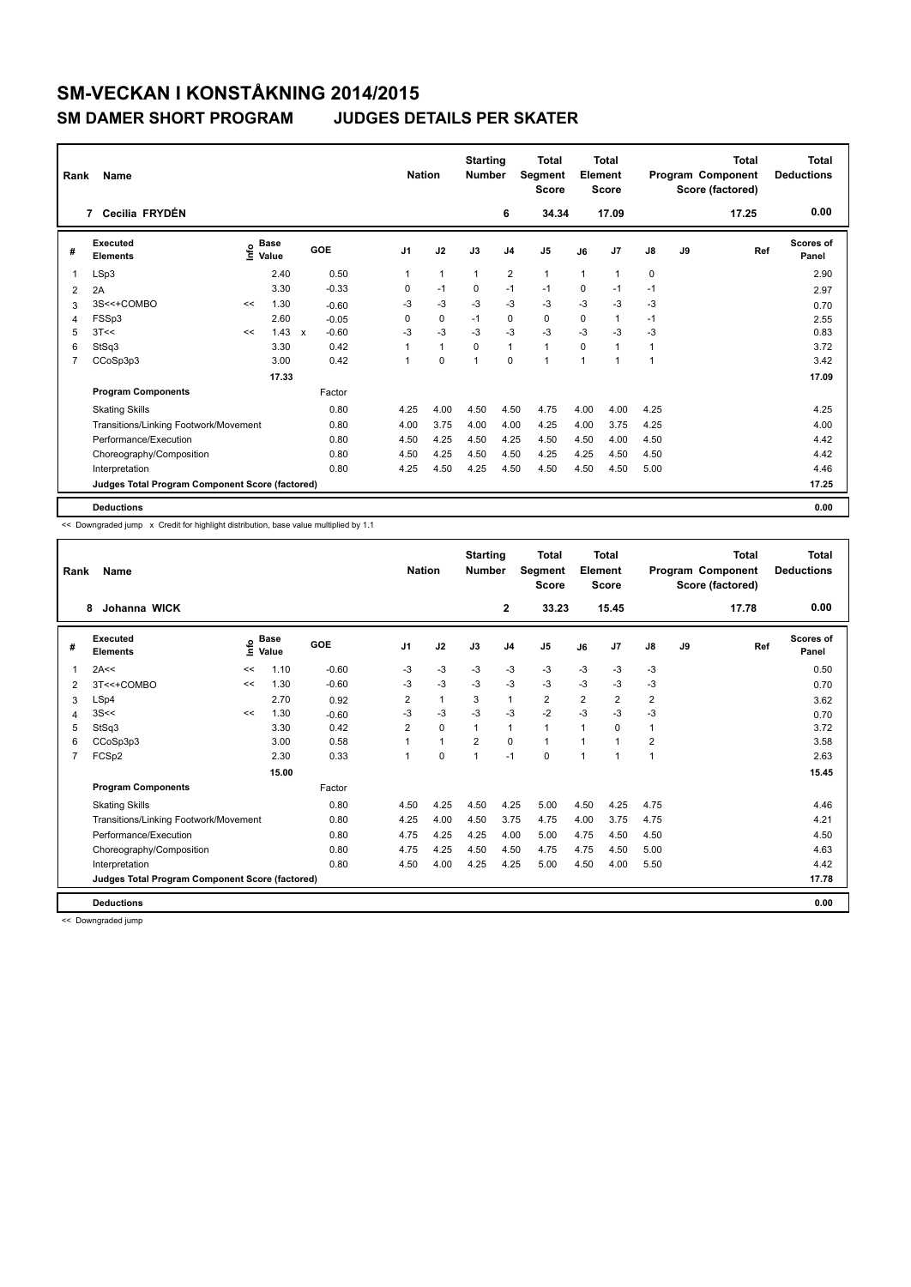## **SM-VECKAN I KONSTÅKNING 2014/2015 SM DAMER SHORT PROGRAM**

|  | <b>JUDGES DETAILS PER SKATER</b> |  |  |  |
|--|----------------------------------|--|--|--|
|--|----------------------------------|--|--|--|

| Rank           | Name                                            |      |                      |              |         |                | <b>Nation</b> | <b>Starting</b><br><b>Number</b> |                | <b>Total</b><br>Segment<br><b>Score</b> |              | Total<br>Element<br><b>Score</b> |      |    | <b>Total</b><br>Program Component<br>Score (factored) | <b>Total</b><br><b>Deductions</b> |
|----------------|-------------------------------------------------|------|----------------------|--------------|---------|----------------|---------------|----------------------------------|----------------|-----------------------------------------|--------------|----------------------------------|------|----|-------------------------------------------------------|-----------------------------------|
|                | 7 Cecilia FRYDÉN                                |      |                      |              |         |                |               |                                  | 6              | 34.34                                   |              | 17.09                            |      |    | 17.25                                                 | 0.00                              |
| #              | Executed<br><b>Elements</b>                     | ١nfo | <b>Base</b><br>Value |              | GOE     | J <sub>1</sub> | J2            | J3                               | J <sub>4</sub> | J5                                      | J6           | J <sub>7</sub>                   | J8   | J9 | Ref                                                   | Scores of<br>Panel                |
| 1              | LSp3                                            |      | 2.40                 |              | 0.50    |                | $\mathbf{1}$  | 1                                | 2              | $\mathbf{1}$                            | $\mathbf{1}$ | $\overline{1}$                   | 0    |    |                                                       | 2.90                              |
| 2              | 2A                                              |      | 3.30                 |              | $-0.33$ | 0              | $-1$          | 0                                | $-1$           | $-1$                                    | 0            | $-1$                             | $-1$ |    |                                                       | 2.97                              |
| 3              | 3S<<+COMBO                                      | <<   | 1.30                 |              | $-0.60$ | $-3$           | $-3$          | $-3$                             | $-3$           | $-3$                                    | $-3$         | $-3$                             | $-3$ |    |                                                       | 0.70                              |
| 4              | FSSp3                                           |      | 2.60                 |              | $-0.05$ | 0              | 0             | $-1$                             | 0              | 0                                       | 0            | $\overline{1}$                   | $-1$ |    |                                                       | 2.55                              |
| 5              | 3T<<                                            | <<   | 1.43                 | $\mathbf{x}$ | $-0.60$ | $-3$           | $-3$          | $-3$                             | $-3$           | $-3$                                    | $-3$         | $-3$                             | -3   |    |                                                       | 0.83                              |
| 6              | StSq3                                           |      | 3.30                 |              | 0.42    |                | $\mathbf{1}$  | $\Omega$                         | $\mathbf{1}$   | $\mathbf{1}$                            | $\Omega$     | $\overline{1}$                   | 1    |    |                                                       | 3.72                              |
| $\overline{7}$ | CCoSp3p3                                        |      | 3.00                 |              | 0.42    |                | 0             | 1                                | $\mathbf 0$    | 1                                       | 1            | 1                                | 1    |    |                                                       | 3.42                              |
|                |                                                 |      | 17.33                |              |         |                |               |                                  |                |                                         |              |                                  |      |    |                                                       | 17.09                             |
|                | <b>Program Components</b>                       |      |                      |              | Factor  |                |               |                                  |                |                                         |              |                                  |      |    |                                                       |                                   |
|                | <b>Skating Skills</b>                           |      |                      |              | 0.80    | 4.25           | 4.00          | 4.50                             | 4.50           | 4.75                                    | 4.00         | 4.00                             | 4.25 |    |                                                       | 4.25                              |
|                | Transitions/Linking Footwork/Movement           |      |                      |              | 0.80    | 4.00           | 3.75          | 4.00                             | 4.00           | 4.25                                    | 4.00         | 3.75                             | 4.25 |    |                                                       | 4.00                              |
|                | Performance/Execution                           |      |                      |              | 0.80    | 4.50           | 4.25          | 4.50                             | 4.25           | 4.50                                    | 4.50         | 4.00                             | 4.50 |    |                                                       | 4.42                              |
|                | Choreography/Composition                        |      |                      |              | 0.80    | 4.50           | 4.25          | 4.50                             | 4.50           | 4.25                                    | 4.25         | 4.50                             | 4.50 |    |                                                       | 4.42                              |
|                | Interpretation                                  |      |                      |              | 0.80    | 4.25           | 4.50          | 4.25                             | 4.50           | 4.50                                    | 4.50         | 4.50                             | 5.00 |    |                                                       | 4.46                              |
|                | Judges Total Program Component Score (factored) |      |                      |              |         |                |               |                                  |                |                                         |              |                                  |      |    |                                                       | 17.25                             |
|                | <b>Deductions</b>                               |      |                      |              |         |                |               |                                  |                |                                         |              |                                  |      |    |                                                       | 0.00                              |

<< Downgraded jump x Credit for highlight distribution, base value multiplied by 1.1

| Rank | Name                                            |      |                      |         | <b>Nation</b>  |              | <b>Starting</b><br><b>Number</b> |                | <b>Total</b><br><b>Segment</b><br><b>Score</b> |                | Total<br>Element<br><b>Score</b> |                |    | <b>Total</b><br>Program Component<br>Score (factored) | <b>Total</b><br><b>Deductions</b> |
|------|-------------------------------------------------|------|----------------------|---------|----------------|--------------|----------------------------------|----------------|------------------------------------------------|----------------|----------------------------------|----------------|----|-------------------------------------------------------|-----------------------------------|
|      | Johanna WICK<br>8                               |      |                      |         |                |              |                                  | $\mathbf{2}$   | 33.23                                          |                | 15.45                            |                |    | 17.78                                                 | 0.00                              |
| #    | Executed<br><b>Elements</b>                     | ١nfo | <b>Base</b><br>Value | GOE     | J <sub>1</sub> | J2           | J3                               | J <sub>4</sub> | J5                                             | J6             | J7                               | J8             | J9 | Ref                                                   | <b>Scores of</b><br>Panel         |
| 1    | 2A<<                                            | <<   | 1.10                 | $-0.60$ | $-3$           | $-3$         | $-3$                             | $-3$           | $-3$                                           | $-3$           | $-3$                             | $-3$           |    |                                                       | 0.50                              |
| 2    | 3T<<+COMBO                                      | <<   | 1.30                 | $-0.60$ | $-3$           | $-3$         | $-3$                             | $-3$           | $-3$                                           | $-3$           | $-3$                             | $-3$           |    |                                                       | 0.70                              |
| 3    | LSp4                                            |      | 2.70                 | 0.92    | $\overline{2}$ | $\mathbf{1}$ | 3                                | $\mathbf{1}$   | $\overline{2}$                                 | $\overline{2}$ | $\overline{2}$                   | $\overline{2}$ |    |                                                       | 3.62                              |
| 4    | 3S<<                                            | <<   | 1.30                 | $-0.60$ | $-3$           | $-3$         | $-3$                             | $-3$           | $-2$                                           | $-3$           | $-3$                             | $-3$           |    |                                                       | 0.70                              |
| 5    | StSq3                                           |      | 3.30                 | 0.42    | 2              | 0            | 1                                | $\mathbf{1}$   | $\mathbf{1}$                                   | -1             | 0                                | 1              |    |                                                       | 3.72                              |
| 6    | CCoSp3p3                                        |      | 3.00                 | 0.58    |                | 1            | $\overline{2}$                   | $\Omega$       | 1                                              | 1              | -1                               | 2              |    |                                                       | 3.58                              |
| 7    | FCSp2                                           |      | 2.30                 | 0.33    | 1              | $\Omega$     | 1                                | $-1$           | $\Omega$                                       | 1              | $\overline{1}$                   | $\mathbf{1}$   |    |                                                       | 2.63                              |
|      |                                                 |      | 15.00                |         |                |              |                                  |                |                                                |                |                                  |                |    |                                                       | 15.45                             |
|      | <b>Program Components</b>                       |      |                      | Factor  |                |              |                                  |                |                                                |                |                                  |                |    |                                                       |                                   |
|      | <b>Skating Skills</b>                           |      |                      | 0.80    | 4.50           | 4.25         | 4.50                             | 4.25           | 5.00                                           | 4.50           | 4.25                             | 4.75           |    |                                                       | 4.46                              |
|      | Transitions/Linking Footwork/Movement           |      |                      | 0.80    | 4.25           | 4.00         | 4.50                             | 3.75           | 4.75                                           | 4.00           | 3.75                             | 4.75           |    |                                                       | 4.21                              |
|      | Performance/Execution                           |      |                      | 0.80    | 4.75           | 4.25         | 4.25                             | 4.00           | 5.00                                           | 4.75           | 4.50                             | 4.50           |    |                                                       | 4.50                              |
|      | Choreography/Composition                        |      |                      | 0.80    | 4.75           | 4.25         | 4.50                             | 4.50           | 4.75                                           | 4.75           | 4.50                             | 5.00           |    |                                                       | 4.63                              |
|      | Interpretation                                  |      |                      | 0.80    | 4.50           | 4.00         | 4.25                             | 4.25           | 5.00                                           | 4.50           | 4.00                             | 5.50           |    |                                                       | 4.42                              |
|      | Judges Total Program Component Score (factored) |      |                      |         |                |              |                                  |                |                                                |                |                                  |                |    |                                                       | 17.78                             |
|      | <b>Deductions</b>                               |      |                      |         |                |              |                                  |                |                                                |                |                                  |                |    |                                                       | 0.00                              |

<< Downgraded jump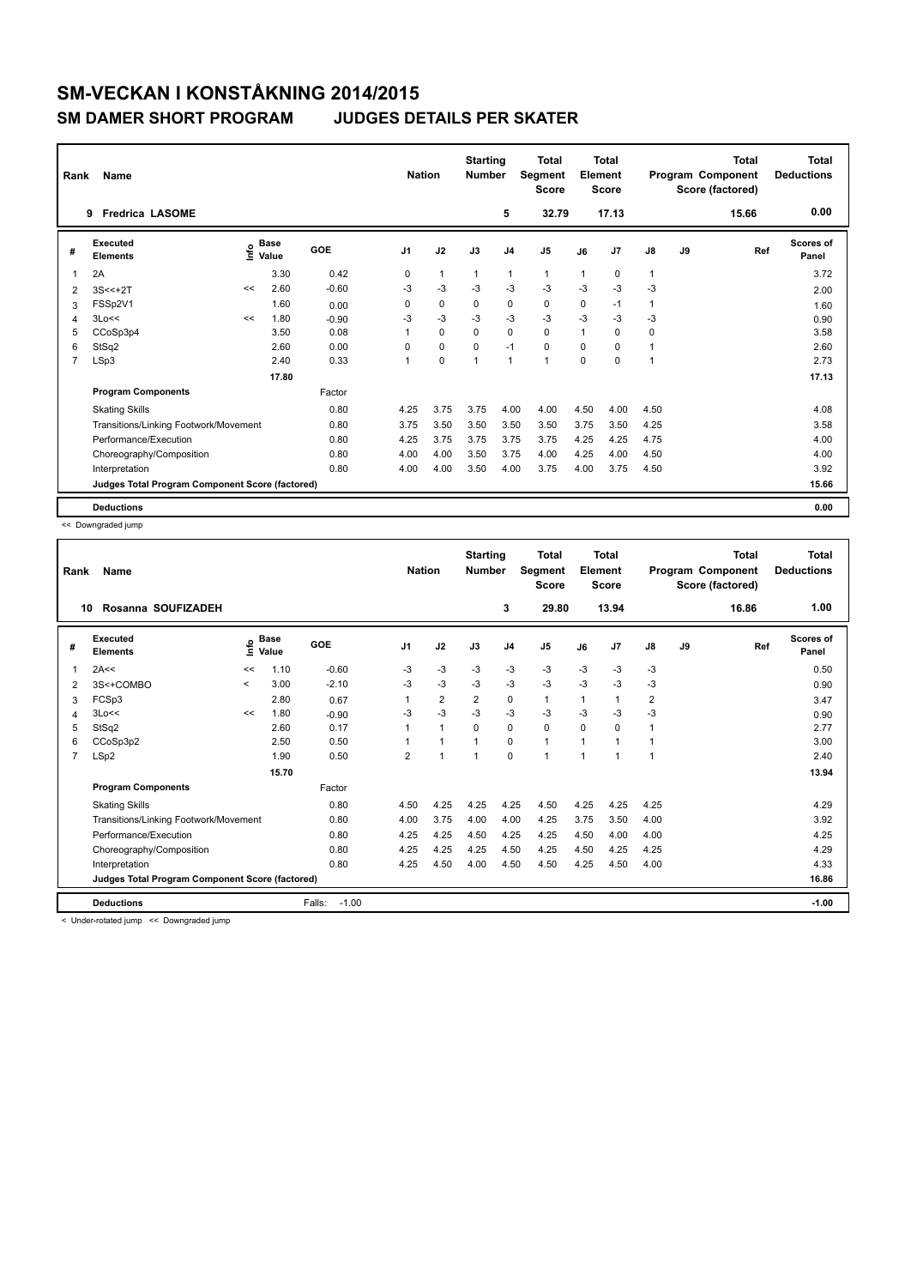| Rank           | Name                                            |      |                      |         | <b>Nation</b>  |              | <b>Starting</b><br><b>Number</b> |                | <b>Total</b><br>Segment<br><b>Score</b> |              | Total<br>Element<br><b>Score</b> |                |    | <b>Total</b><br>Program Component<br>Score (factored) | <b>Total</b><br><b>Deductions</b> |
|----------------|-------------------------------------------------|------|----------------------|---------|----------------|--------------|----------------------------------|----------------|-----------------------------------------|--------------|----------------------------------|----------------|----|-------------------------------------------------------|-----------------------------------|
|                | <b>Fredrica LASOME</b><br>9                     |      |                      |         |                |              |                                  | 5              | 32.79                                   |              | 17.13                            |                |    | 15.66                                                 | 0.00                              |
| #              | Executed<br><b>Elements</b>                     | ١nfo | <b>Base</b><br>Value | GOE     | J <sub>1</sub> | J2           | J3                               | J <sub>4</sub> | J <sub>5</sub>                          | J6           | J7                               | J8             | J9 | Ref                                                   | Scores of<br>Panel                |
| 1              | 2A                                              |      | 3.30                 | 0.42    | 0              | $\mathbf{1}$ | $\mathbf{1}$                     | $\mathbf{1}$   | $\mathbf{1}$                            | $\mathbf{1}$ | 0                                | $\mathbf{1}$   |    |                                                       | 3.72                              |
| 2              | $3S < +2T$                                      | <<   | 2.60                 | $-0.60$ | -3             | $-3$         | $-3$                             | -3             | $-3$                                    | $-3$         | $-3$                             | $-3$           |    |                                                       | 2.00                              |
| 3              | FSSp2V1                                         |      | 1.60                 | 0.00    | $\Omega$       | $\mathbf 0$  | $\Omega$                         | 0              | $\mathbf 0$                             | 0            | $-1$                             | 1              |    |                                                       | 1.60                              |
| 4              | 3Lo<<                                           | <<   | 1.80                 | $-0.90$ | -3             | $-3$         | $-3$                             | -3             | $-3$                                    | $-3$         | $-3$                             | -3             |    |                                                       | 0.90                              |
| 5              | CCoSp3p4                                        |      | 3.50                 | 0.08    | 1              | $\mathbf 0$  | $\Omega$                         | 0              | $\mathbf 0$                             | 1            | 0                                | 0              |    |                                                       | 3.58                              |
| 6              | StSq2                                           |      | 2.60                 | 0.00    | $\Omega$       | $\mathbf 0$  | $\Omega$                         | $-1$           | $\mathbf 0$                             | $\Omega$     | $\Omega$                         | $\mathbf{1}$   |    |                                                       | 2.60                              |
| $\overline{7}$ | LSp3                                            |      | 2.40                 | 0.33    | 1              | $\mathbf 0$  | 1                                | $\mathbf{1}$   | 1                                       | $\mathbf 0$  | $\mathbf 0$                      | $\overline{1}$ |    |                                                       | 2.73                              |
|                |                                                 |      | 17.80                |         |                |              |                                  |                |                                         |              |                                  |                |    |                                                       | 17.13                             |
|                | <b>Program Components</b>                       |      |                      | Factor  |                |              |                                  |                |                                         |              |                                  |                |    |                                                       |                                   |
|                | <b>Skating Skills</b>                           |      |                      | 0.80    | 4.25           | 3.75         | 3.75                             | 4.00           | 4.00                                    | 4.50         | 4.00                             | 4.50           |    |                                                       | 4.08                              |
|                | Transitions/Linking Footwork/Movement           |      |                      | 0.80    | 3.75           | 3.50         | 3.50                             | 3.50           | 3.50                                    | 3.75         | 3.50                             | 4.25           |    |                                                       | 3.58                              |
|                | Performance/Execution                           |      |                      | 0.80    | 4.25           | 3.75         | 3.75                             | 3.75           | 3.75                                    | 4.25         | 4.25                             | 4.75           |    |                                                       | 4.00                              |
|                | Choreography/Composition                        |      |                      | 0.80    | 4.00           | 4.00         | 3.50                             | 3.75           | 4.00                                    | 4.25         | 4.00                             | 4.50           |    |                                                       | 4.00                              |
|                | Interpretation                                  |      |                      | 0.80    | 4.00           | 4.00         | 3.50                             | 4.00           | 3.75                                    | 4.00         | 3.75                             | 4.50           |    |                                                       | 3.92                              |
|                | Judges Total Program Component Score (factored) |      |                      |         |                |              |                                  |                |                                         |              |                                  |                |    |                                                       | 15.66                             |
|                | <b>Deductions</b>                               |      |                      |         |                |              |                                  |                |                                         |              |                                  |                |    |                                                       | 0.00                              |

<< Downgraded jump

| Rank           | Name                                            |             |                      |                   | <b>Nation</b>  |                | <b>Starting</b><br><b>Number</b> |                | <b>Total</b><br>Segment<br><b>Score</b> |              | <b>Total</b><br>Element<br><b>Score</b> |                         |    | <b>Total</b><br>Program Component<br>Score (factored) | <b>Total</b><br><b>Deductions</b> |
|----------------|-------------------------------------------------|-------------|----------------------|-------------------|----------------|----------------|----------------------------------|----------------|-----------------------------------------|--------------|-----------------------------------------|-------------------------|----|-------------------------------------------------------|-----------------------------------|
|                | Rosanna SOUFIZADEH<br>10                        |             |                      |                   |                |                |                                  | 3              | 29.80                                   |              | 13.94                                   |                         |    | 16.86                                                 | 1.00                              |
| #              | Executed<br><b>Elements</b>                     | <u>lnfo</u> | <b>Base</b><br>Value | GOE               | J <sub>1</sub> | J2             | J3                               | J <sub>4</sub> | J5                                      | J6           | J7                                      | $\mathsf{J}8$           | J9 | Ref                                                   | <b>Scores of</b><br>Panel         |
| 1              | 2A<<                                            | <<          | 1.10                 | $-0.60$           | $-3$           | $-3$           | $-3$                             | $-3$           | $-3$                                    | $-3$         | $-3$                                    | $-3$                    |    |                                                       | 0.50                              |
| 2              | 3S<+COMBO                                       | $\prec$     | 3.00                 | $-2.10$           | $-3$           | $-3$           | $-3$                             | $-3$           | $-3$                                    | $-3$         | $-3$                                    | $-3$                    |    |                                                       | 0.90                              |
| 3              | FCSp3                                           |             | 2.80                 | 0.67              | 1              | $\overline{2}$ | 2                                | 0              | $\mathbf{1}$                            | $\mathbf{1}$ | $\mathbf{1}$                            | $\overline{\mathbf{c}}$ |    |                                                       | 3.47                              |
| 4              | 3Lo<<                                           | <<          | 1.80                 | $-0.90$           | -3             | $-3$           | $-3$                             | $-3$           | $-3$                                    | $-3$         | $-3$                                    | $-3$                    |    |                                                       | 0.90                              |
| 5              | StSq2                                           |             | 2.60                 | 0.17              | 1              | $\mathbf{1}$   | 0                                | 0              | 0                                       | $\Omega$     | 0                                       | 1                       |    |                                                       | 2.77                              |
| 6              | CCoSp3p2                                        |             | 2.50                 | 0.50              |                | 1              |                                  | $\Omega$       | $\mathbf{1}$                            | $\mathbf 1$  | 1                                       | 1                       |    |                                                       | 3.00                              |
| $\overline{7}$ | LSp2                                            |             | 1.90                 | 0.50              | $\overline{2}$ | 1              | $\overline{1}$                   | $\mathbf 0$    | $\mathbf 1$                             | $\mathbf{1}$ | 1                                       | 1                       |    |                                                       | 2.40                              |
|                |                                                 |             | 15.70                |                   |                |                |                                  |                |                                         |              |                                         |                         |    |                                                       | 13.94                             |
|                | <b>Program Components</b>                       |             |                      | Factor            |                |                |                                  |                |                                         |              |                                         |                         |    |                                                       |                                   |
|                | <b>Skating Skills</b>                           |             |                      | 0.80              | 4.50           | 4.25           | 4.25                             | 4.25           | 4.50                                    | 4.25         | 4.25                                    | 4.25                    |    |                                                       | 4.29                              |
|                | Transitions/Linking Footwork/Movement           |             |                      | 0.80              | 4.00           | 3.75           | 4.00                             | 4.00           | 4.25                                    | 3.75         | 3.50                                    | 4.00                    |    |                                                       | 3.92                              |
|                | Performance/Execution                           |             |                      | 0.80              | 4.25           | 4.25           | 4.50                             | 4.25           | 4.25                                    | 4.50         | 4.00                                    | 4.00                    |    |                                                       | 4.25                              |
|                | Choreography/Composition                        |             |                      | 0.80              | 4.25           | 4.25           | 4.25                             | 4.50           | 4.25                                    | 4.50         | 4.25                                    | 4.25                    |    |                                                       | 4.29                              |
|                | Interpretation                                  |             |                      | 0.80              | 4.25           | 4.50           | 4.00                             | 4.50           | 4.50                                    | 4.25         | 4.50                                    | 4.00                    |    |                                                       | 4.33                              |
|                | Judges Total Program Component Score (factored) |             |                      |                   |                |                |                                  |                |                                         |              |                                         |                         |    |                                                       | 16.86                             |
|                | <b>Deductions</b>                               |             |                      | $-1.00$<br>Falls: |                |                |                                  |                |                                         |              |                                         |                         |    |                                                       | $-1.00$                           |

< Under-rotated jump << Downgraded jump